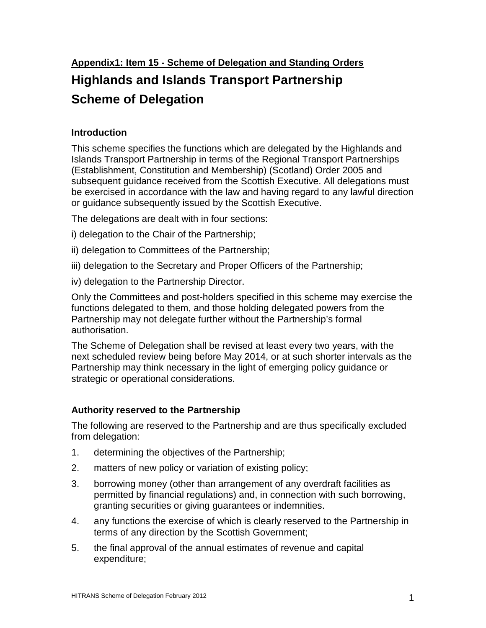# **Highlands and Islands Transport Partnership Scheme of Delegation**

# **Introduction**

This scheme specifies the functions which are delegated by the Highlands and Islands Transport Partnership in terms of the Regional Transport Partnerships (Establishment, Constitution and Membership) (Scotland) Order 2005 and subsequent guidance received from the Scottish Executive. All delegations must be exercised in accordance with the law and having regard to any lawful direction or guidance subsequently issued by the Scottish Executive.

The delegations are dealt with in four sections:

- i) delegation to the Chair of the Partnership;
- ii) delegation to Committees of the Partnership;
- iii) delegation to the Secretary and Proper Officers of the Partnership;
- iv) delegation to the Partnership Director.

Only the Committees and post-holders specified in this scheme may exercise the functions delegated to them, and those holding delegated powers from the Partnership may not delegate further without the Partnership's formal authorisation.

The Scheme of Delegation shall be revised at least every two years, with the next scheduled review being before May 2014, or at such shorter intervals as the Partnership may think necessary in the light of emerging policy guidance or strategic or operational considerations.

# **Authority reserved to the Partnership**

The following are reserved to the Partnership and are thus specifically excluded from delegation:

- 1. determining the objectives of the Partnership;
- 2. matters of new policy or variation of existing policy;
- 3. borrowing money (other than arrangement of any overdraft facilities as permitted by financial regulations) and, in connection with such borrowing, granting securities or giving guarantees or indemnities.
- 4. any functions the exercise of which is clearly reserved to the Partnership in terms of any direction by the Scottish Government;
- 5. the final approval of the annual estimates of revenue and capital expenditure;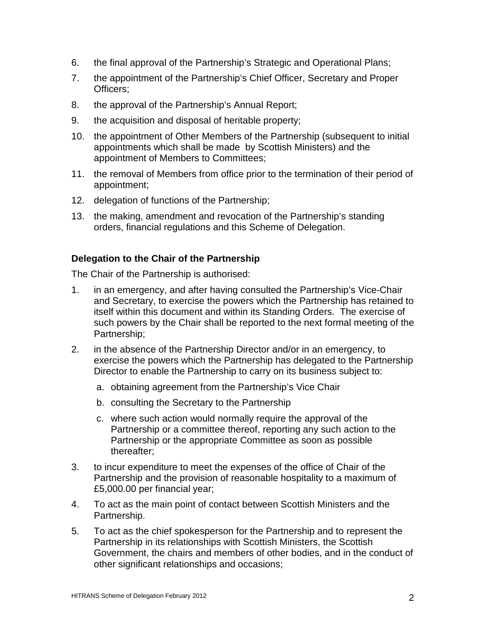- 6. the final approval of the Partnership's Strategic and Operational Plans;
- 7. the appointment of the Partnership's Chief Officer, Secretary and Proper Officers;
- 8. the approval of the Partnership's Annual Report;
- 9. the acquisition and disposal of heritable property;
- 10. the appointment of Other Members of the Partnership (subsequent to initial appointments which shall be made by Scottish Ministers) and the appointment of Members to Committees;
- 11. the removal of Members from office prior to the termination of their period of appointment;
- 12. delegation of functions of the Partnership;
- 13. the making, amendment and revocation of the Partnership's standing orders, financial regulations and this Scheme of Delegation.

# **Delegation to the Chair of the Partnership**

The Chair of the Partnership is authorised:

- 1. in an emergency, and after having consulted the Partnership's Vice-Chair and Secretary, to exercise the powers which the Partnership has retained to itself within this document and within its Standing Orders. The exercise of such powers by the Chair shall be reported to the next formal meeting of the Partnership;
- 2. in the absence of the Partnership Director and/or in an emergency, to exercise the powers which the Partnership has delegated to the Partnership Director to enable the Partnership to carry on its business subject to:
	- a. obtaining agreement from the Partnership's Vice Chair
	- b. consulting the Secretary to the Partnership
	- c. where such action would normally require the approval of the Partnership or a committee thereof, reporting any such action to the Partnership or the appropriate Committee as soon as possible thereafter;
- 3. to incur expenditure to meet the expenses of the office of Chair of the Partnership and the provision of reasonable hospitality to a maximum of £5,000.00 per financial year;
- 4. To act as the main point of contact between Scottish Ministers and the Partnership.
- 5. To act as the chief spokesperson for the Partnership and to represent the Partnership in its relationships with Scottish Ministers, the Scottish Government, the chairs and members of other bodies, and in the conduct of other significant relationships and occasions;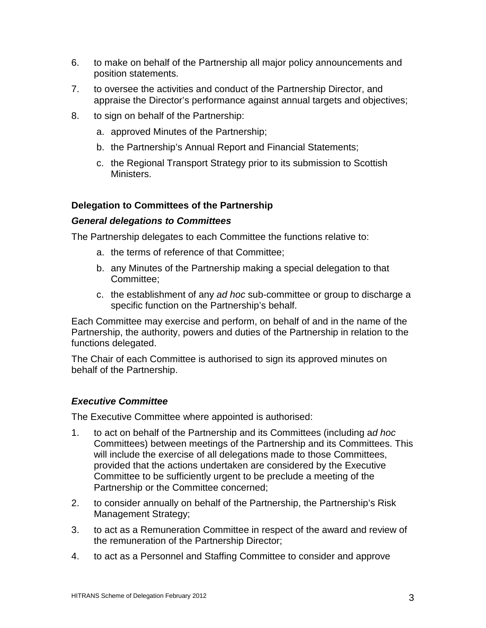- 6. to make on behalf of the Partnership all major policy announcements and position statements.
- 7. to oversee the activities and conduct of the Partnership Director, and appraise the Director's performance against annual targets and objectives;
- 8. to sign on behalf of the Partnership:
	- a. approved Minutes of the Partnership;
	- b. the Partnership's Annual Report and Financial Statements;
	- c. the Regional Transport Strategy prior to its submission to Scottish Ministers.

# **Delegation to Committees of the Partnership**

#### **General delegations to Committees**

The Partnership delegates to each Committee the functions relative to:

- a. the terms of reference of that Committee;
- b. any Minutes of the Partnership making a special delegation to that Committee;
- c. the establishment of any ad hoc sub-committee or group to discharge a specific function on the Partnership's behalf.

Each Committee may exercise and perform, on behalf of and in the name of the Partnership, the authority, powers and duties of the Partnership in relation to the functions delegated.

The Chair of each Committee is authorised to sign its approved minutes on behalf of the Partnership.

# **Executive Committee**

The Executive Committee where appointed is authorised:

- 1. to act on behalf of the Partnership and its Committees (including ad hoc Committees) between meetings of the Partnership and its Committees. This will include the exercise of all delegations made to those Committees, provided that the actions undertaken are considered by the Executive Committee to be sufficiently urgent to be preclude a meeting of the Partnership or the Committee concerned;
- 2. to consider annually on behalf of the Partnership, the Partnership's Risk Management Strategy;
- 3. to act as a Remuneration Committee in respect of the award and review of the remuneration of the Partnership Director;
- 4. to act as a Personnel and Staffing Committee to consider and approve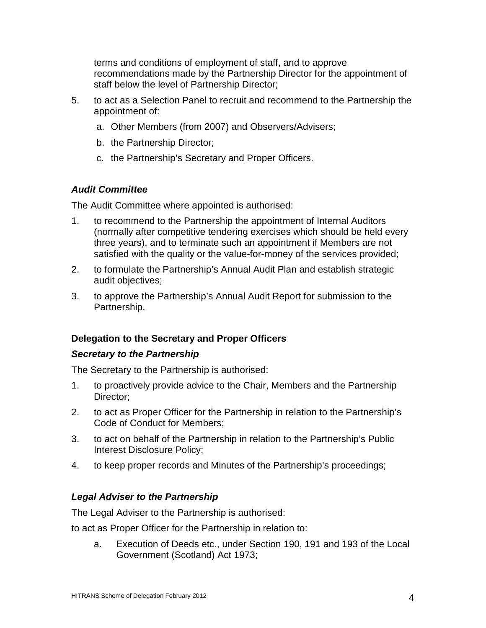terms and conditions of employment of staff, and to approve recommendations made by the Partnership Director for the appointment of staff below the level of Partnership Director;

- 5. to act as a Selection Panel to recruit and recommend to the Partnership the appointment of:
	- a. Other Members (from 2007) and Observers/Advisers;
	- b. the Partnership Director;
	- c. the Partnership's Secretary and Proper Officers.

## **Audit Committee**

The Audit Committee where appointed is authorised:

- 1. to recommend to the Partnership the appointment of Internal Auditors (normally after competitive tendering exercises which should be held every three years), and to terminate such an appointment if Members are not satisfied with the quality or the value-for-money of the services provided;
- 2. to formulate the Partnership's Annual Audit Plan and establish strategic audit objectives;
- 3. to approve the Partnership's Annual Audit Report for submission to the Partnership.

## **Delegation to the Secretary and Proper Officers**

#### **Secretary to the Partnership**

The Secretary to the Partnership is authorised:

- 1. to proactively provide advice to the Chair, Members and the Partnership Director;
- 2. to act as Proper Officer for the Partnership in relation to the Partnership's Code of Conduct for Members;
- 3. to act on behalf of the Partnership in relation to the Partnership's Public Interest Disclosure Policy;
- 4. to keep proper records and Minutes of the Partnership's proceedings;

## **Legal Adviser to the Partnership**

The Legal Adviser to the Partnership is authorised:

to act as Proper Officer for the Partnership in relation to:

a. Execution of Deeds etc., under Section 190, 191 and 193 of the Local Government (Scotland) Act 1973;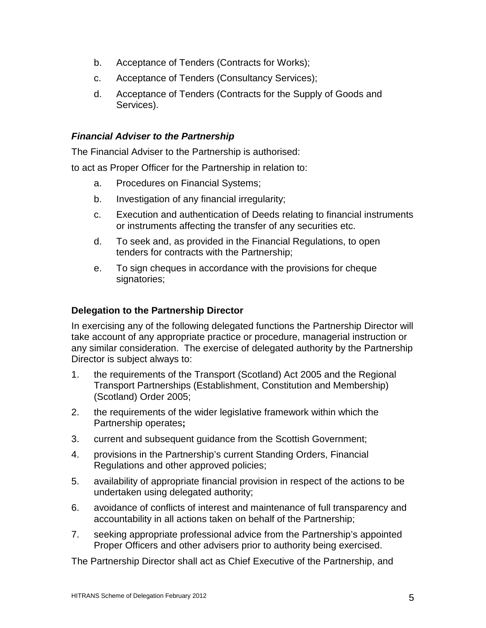- b. Acceptance of Tenders (Contracts for Works);
- c. Acceptance of Tenders (Consultancy Services);
- d. Acceptance of Tenders (Contracts for the Supply of Goods and Services).

# **Financial Adviser to the Partnership**

The Financial Adviser to the Partnership is authorised:

to act as Proper Officer for the Partnership in relation to:

- a. Procedures on Financial Systems;
- b. Investigation of any financial irregularity;
- c. Execution and authentication of Deeds relating to financial instruments or instruments affecting the transfer of any securities etc.
- d. To seek and, as provided in the Financial Regulations, to open tenders for contracts with the Partnership;
- e. To sign cheques in accordance with the provisions for cheque signatories;

# **Delegation to the Partnership Director**

In exercising any of the following delegated functions the Partnership Director will take account of any appropriate practice or procedure, managerial instruction or any similar consideration. The exercise of delegated authority by the Partnership Director is subject always to:

- 1. the requirements of the Transport (Scotland) Act 2005 and the Regional Transport Partnerships (Establishment, Constitution and Membership) (Scotland) Order 2005;
- 2. the requirements of the wider legislative framework within which the Partnership operates**;**
- 3. current and subsequent guidance from the Scottish Government;
- 4. provisions in the Partnership's current Standing Orders, Financial Regulations and other approved policies;
- 5. availability of appropriate financial provision in respect of the actions to be undertaken using delegated authority;
- 6. avoidance of conflicts of interest and maintenance of full transparency and accountability in all actions taken on behalf of the Partnership;
- 7. seeking appropriate professional advice from the Partnership's appointed Proper Officers and other advisers prior to authority being exercised.

The Partnership Director shall act as Chief Executive of the Partnership, and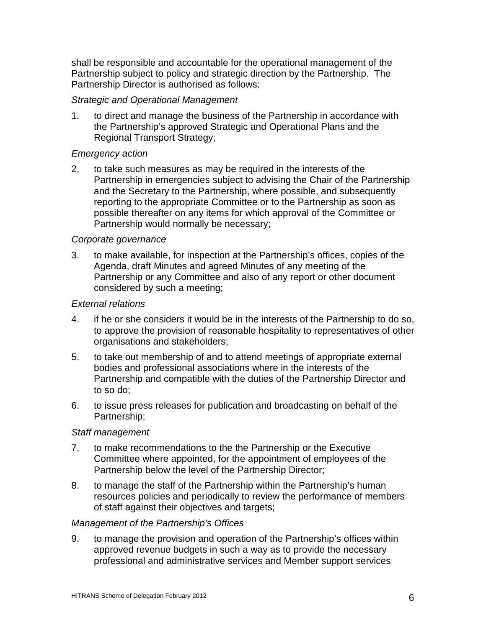shall be responsible and accountable for the operational management of the Partnership subject to policy and strategic direction by the Partnership. The Partnership Director is authorised as follows:

## Strategic and Operational Management

1. to direct and manage the business of the Partnership in accordance with the Partnership's approved Strategic and Operational Plans and the Regional Transport Strategy;

## Emergency action

2. to take such measures as may be required in the interests of the Partnership in emergencies subject to advising the Chair of the Partnership and the Secretary to the Partnership, where possible, and subsequently reporting to the appropriate Committee or to the Partnership as soon as possible thereafter on any items for which approval of the Committee or Partnership would normally be necessary;

## Corporate governance

3. to make available, for inspection at the Partnership's offices, copies of the Agenda, draft Minutes and agreed Minutes of any meeting of the Partnership or any Committee and also of any report or other document considered by such a meeting;

## External relations

- 4. if he or she considers it would be in the interests of the Partnership to do so, to approve the provision of reasonable hospitality to representatives of other organisations and stakeholders;
- 5. to take out membership of and to attend meetings of appropriate external bodies and professional associations where in the interests of the Partnership and compatible with the duties of the Partnership Director and to so do;
- 6. to issue press releases for publication and broadcasting on behalf of the Partnership;

# Staff management

- 7. to make recommendations to the the Partnership or the Executive Committee where appointed, for the appointment of employees of the Partnership below the level of the Partnership Director;
- 8. to manage the staff of the Partnership within the Partnership's human resources policies and periodically to review the performance of members of staff against their objectives and targets;

## Management of the Partnership's Offices

9. to manage the provision and operation of the Partnership's offices within approved revenue budgets in such a way as to provide the necessary professional and administrative services and Member support services